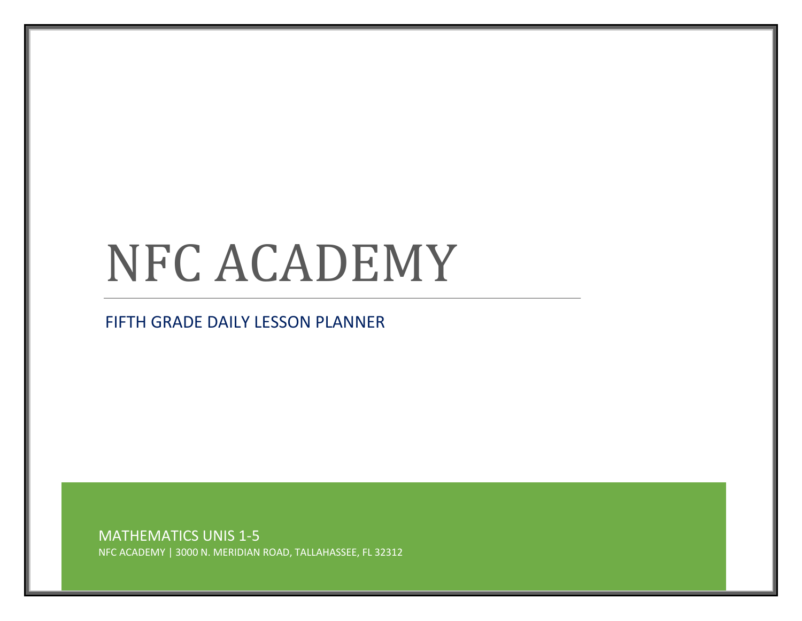## NFC ACADEMY

## FIFTH GRADE DAILY LESSON PLANNER

MATHEMATICS UNIS 1-5 NFC ACADEMY | 3000 N. MERIDIAN ROAD, TALLAHASSEE, FL 32312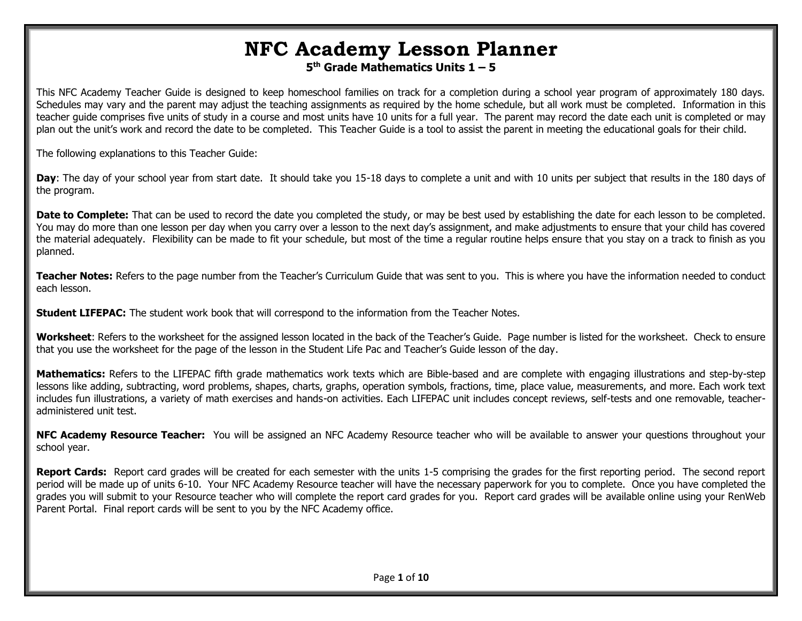## **NFC Academy Lesson Planner**

**5 th Grade Mathematics Units 1 – 5**

This NFC Academy Teacher Guide is designed to keep homeschool families on track for a completion during a school year program of approximately 180 days. Schedules may vary and the parent may adjust the teaching assignments as required by the home schedule, but all work must be completed. Information in this teacher guide comprises five units of study in a course and most units have 10 units for a full year. The parent may record the date each unit is completed or may plan out the unit's work and record the date to be completed. This Teacher Guide is a tool to assist the parent in meeting the educational goals for their child.

The following explanations to this Teacher Guide:

**Day**: The day of your school year from start date. It should take you 15-18 days to complete a unit and with 10 units per subject that results in the 180 days of the program.

Date to Complete: That can be used to record the date you completed the study, or may be best used by establishing the date for each lesson to be completed. You may do more than one lesson per day when you carry over a lesson to the next day's assignment, and make adjustments to ensure that your child has covered the material adequately. Flexibility can be made to fit your schedule, but most of the time a regular routine helps ensure that you stay on a track to finish as you planned.

**Teacher Notes:** Refers to the page number from the Teacher's Curriculum Guide that was sent to you. This is where you have the information needed to conduct each lesson.

**Student LIFEPAC:** The student work book that will correspond to the information from the Teacher Notes.

**Worksheet**: Refers to the worksheet for the assigned lesson located in the back of the Teacher's Guide. Page number is listed for the worksheet. Check to ensure that you use the worksheet for the page of the lesson in the Student Life Pac and Teacher's Guide lesson of the day.

**Mathematics:** Refers to the LIFEPAC fifth grade mathematics work texts which are Bible-based and are complete with engaging illustrations and step-by-step lessons like adding, subtracting, word problems, shapes, charts, graphs, operation symbols, fractions, time, place value, measurements, and more. Each work text includes fun illustrations, a variety of math exercises and hands-on activities. Each LIFEPAC unit includes concept reviews, self-tests and one removable, teacheradministered unit test.

**NFC Academy Resource Teacher:** You will be assigned an NFC Academy Resource teacher who will be available to answer your questions throughout your school year.

**Report Cards:** Report card grades will be created for each semester with the units 1-5 comprising the grades for the first reporting period. The second report period will be made up of units 6-10. Your NFC Academy Resource teacher will have the necessary paperwork for you to complete. Once you have completed the grades you will submit to your Resource teacher who will complete the report card grades for you. Report card grades will be available online using your RenWeb Parent Portal. Final report cards will be sent to you by the NFC Academy office.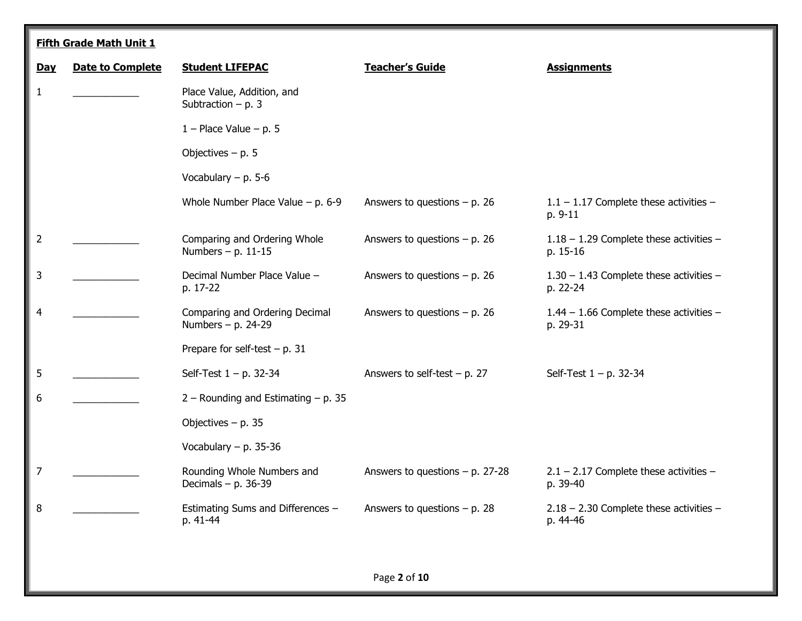|                | <b>Fifth Grade Math Unit 1</b> |                                                      |                                    |                                                       |  |  |
|----------------|--------------------------------|------------------------------------------------------|------------------------------------|-------------------------------------------------------|--|--|
| Day            | <b>Date to Complete</b>        | <b>Student LIFEPAC</b>                               | <b>Teacher's Guide</b>             | <b>Assignments</b>                                    |  |  |
| $\mathbf{1}$   |                                | Place Value, Addition, and<br>Subtraction $- p. 3$   |                                    |                                                       |  |  |
|                |                                | $1 -$ Place Value $-$ p. 5                           |                                    |                                                       |  |  |
|                |                                | Objectives $- p. 5$                                  |                                    |                                                       |  |  |
|                |                                | Vocabulary $- p. 5-6$                                |                                    |                                                       |  |  |
|                |                                | Whole Number Place Value $- p$ . 6-9                 | Answers to questions $- p$ . 26    | $1.1 - 1.17$ Complete these activities -<br>p. 9-11   |  |  |
| $\overline{2}$ |                                | Comparing and Ordering Whole<br>Numbers $- p. 11-15$ | Answers to questions $- p$ . 26    | $1.18 - 1.29$ Complete these activities -<br>p. 15-16 |  |  |
| 3              |                                | Decimal Number Place Value -<br>p. 17-22             | Answers to questions $- p$ . 26    | $1.30 - 1.43$ Complete these activities -<br>p. 22-24 |  |  |
| 4              |                                | Comparing and Ordering Decimal<br>Numbers - p. 24-29 | Answers to questions $- p$ . 26    | $1.44 - 1.66$ Complete these activities -<br>p. 29-31 |  |  |
|                |                                | Prepare for self-test $- p. 31$                      |                                    |                                                       |  |  |
| 5              |                                | Self-Test $1 - p$ . 32-34                            | Answers to self-test $- p. 27$     | Self-Test $1 - p$ . 32-34                             |  |  |
| 6              |                                | $2 -$ Rounding and Estimating $- p$ . 35             |                                    |                                                       |  |  |
|                |                                | Objectives $- p. 35$                                 |                                    |                                                       |  |  |
|                |                                | Vocabulary $- p. 35-36$                              |                                    |                                                       |  |  |
| $\overline{7}$ |                                | Rounding Whole Numbers and<br>Decimals $- p. 36-39$  | Answers to questions $- p$ . 27-28 | $2.1 - 2.17$ Complete these activities -<br>p. 39-40  |  |  |
| 8              |                                | Estimating Sums and Differences -<br>p. 41-44        | Answers to questions $- p$ . 28    | $2.18 - 2.30$ Complete these activities -<br>p. 44-46 |  |  |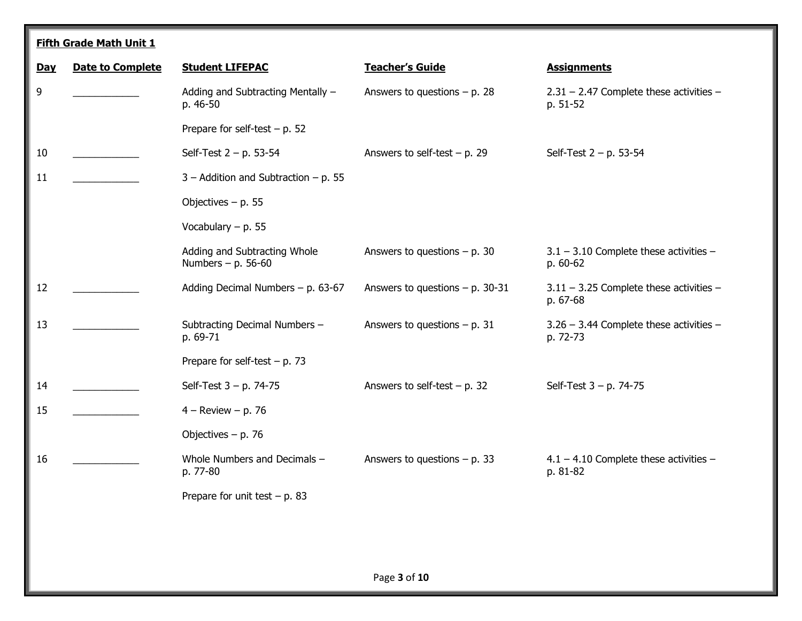|            | <b>Fifth Grade Math Unit 1</b> |                                                      |                                    |                                                       |  |  |
|------------|--------------------------------|------------------------------------------------------|------------------------------------|-------------------------------------------------------|--|--|
| <b>Day</b> | <b>Date to Complete</b>        | <b>Student LIFEPAC</b>                               | <b>Teacher's Guide</b>             | <b>Assignments</b>                                    |  |  |
| 9          |                                | Adding and Subtracting Mentally -<br>p. 46-50        | Answers to questions $- p. 28$     | $2.31 - 2.47$ Complete these activities -<br>p. 51-52 |  |  |
|            |                                | Prepare for self-test $- p$ . 52                     |                                    |                                                       |  |  |
| 10         |                                | Self-Test $2 - p$ . 53-54                            | Answers to self-test $- p$ . 29    | Self-Test $2 - p$ . 53-54                             |  |  |
| 11         |                                | $3 -$ Addition and Subtraction $- p$ . 55            |                                    |                                                       |  |  |
|            |                                | Objectives $- p. 55$                                 |                                    |                                                       |  |  |
|            |                                | Vocabulary $- p. 55$                                 |                                    |                                                       |  |  |
|            |                                | Adding and Subtracting Whole<br>Numbers $- p. 56-60$ | Answers to questions $- p$ . 30    | $3.1 - 3.10$ Complete these activities -<br>p. 60-62  |  |  |
| 12         |                                | Adding Decimal Numbers $- p$ . 63-67                 | Answers to questions $- p$ . 30-31 | $3.11 - 3.25$ Complete these activities -<br>p. 67-68 |  |  |
| 13         |                                | Subtracting Decimal Numbers -<br>p. 69-71            | Answers to questions $- p. 31$     | $3.26 - 3.44$ Complete these activities -<br>p. 72-73 |  |  |
|            |                                | Prepare for self-test $- p. 73$                      |                                    |                                                       |  |  |
| 14         |                                | Self-Test $3 - p$ . 74-75                            | Answers to self-test $- p$ . 32    | Self-Test $3 - p$ . 74-75                             |  |  |
| 15         |                                | $4 -$ Review $- p. 76$                               |                                    |                                                       |  |  |
|            |                                | Objectives $- p. 76$                                 |                                    |                                                       |  |  |
| 16         |                                | Whole Numbers and Decimals -<br>p. 77-80             | Answers to questions $- p. 33$     | $4.1 - 4.10$ Complete these activities -<br>p. 81-82  |  |  |
|            |                                | Prepare for unit test $- p. 83$                      |                                    |                                                       |  |  |
|            |                                |                                                      |                                    |                                                       |  |  |
|            |                                |                                                      |                                    |                                                       |  |  |
|            |                                |                                                      |                                    |                                                       |  |  |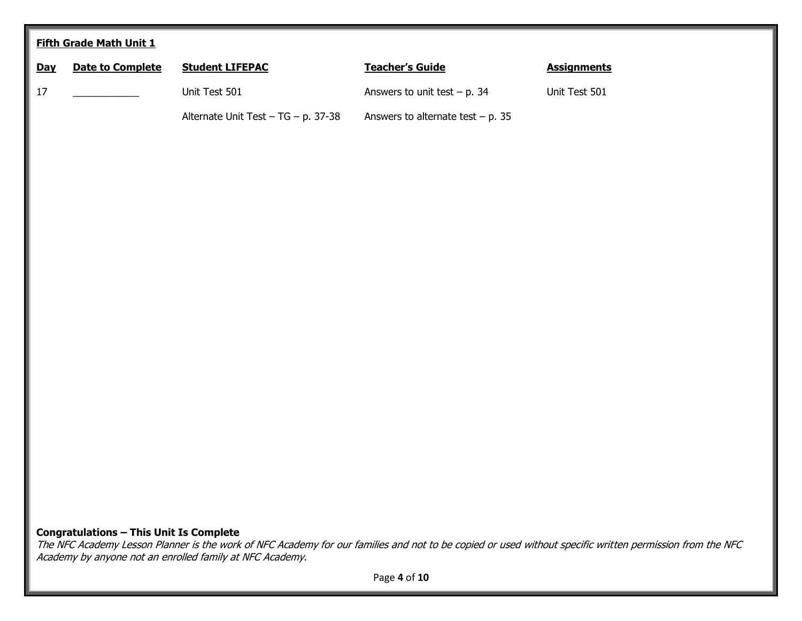|            | <b>Fifth Grade Math Unit 1</b>                 |                                     |                                     |                    |  |  |
|------------|------------------------------------------------|-------------------------------------|-------------------------------------|--------------------|--|--|
| <u>Day</u> | <b>Date to Complete</b>                        | <b>Student LIFEPAC</b>              | <b>Teacher's Guide</b>              | <b>Assignments</b> |  |  |
| $17\,$     |                                                | Unit Test 501                       | Answers to unit test $-$ p. 34      | Unit Test 501      |  |  |
|            |                                                | Alternate Unit Test - TG - p. 37-38 | Answers to alternate test $- p. 35$ |                    |  |  |
|            |                                                |                                     |                                     |                    |  |  |
|            |                                                |                                     |                                     |                    |  |  |
|            |                                                |                                     |                                     |                    |  |  |
|            |                                                |                                     |                                     |                    |  |  |
|            |                                                |                                     |                                     |                    |  |  |
|            |                                                |                                     |                                     |                    |  |  |
|            |                                                |                                     |                                     |                    |  |  |
|            |                                                |                                     |                                     |                    |  |  |
|            |                                                |                                     |                                     |                    |  |  |
|            |                                                |                                     |                                     |                    |  |  |
|            |                                                |                                     |                                     |                    |  |  |
|            |                                                |                                     |                                     |                    |  |  |
|            |                                                |                                     |                                     |                    |  |  |
|            |                                                |                                     |                                     |                    |  |  |
|            |                                                |                                     |                                     |                    |  |  |
|            |                                                |                                     |                                     |                    |  |  |
|            | <b>Congratulations - This Unit Is Complete</b> |                                     |                                     |                    |  |  |

The NFC Academy Lesson Planner is the work of NFC Academy for our families and not to be copied or used without specific written permission from the NFC Academy by anyone not an enrolled family at NFC Academy.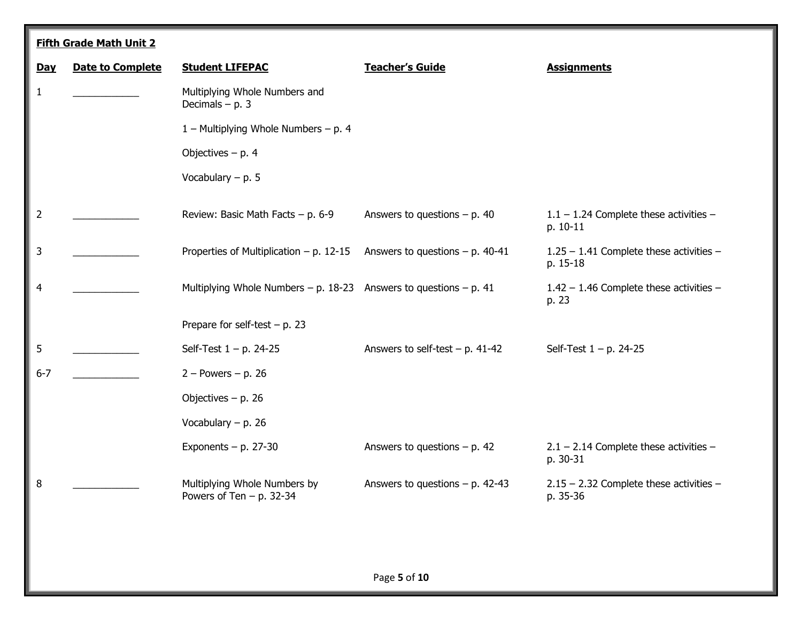|                | <b>Fifth Grade Math Unit 2</b> |                                                                   |                                    |                                                       |  |  |
|----------------|--------------------------------|-------------------------------------------------------------------|------------------------------------|-------------------------------------------------------|--|--|
| Day            | <b>Date to Complete</b>        | <b>Student LIFEPAC</b>                                            | <b>Teacher's Guide</b>             | <b>Assignments</b>                                    |  |  |
| 1              |                                | Multiplying Whole Numbers and<br>Decimals $- p. 3$                |                                    |                                                       |  |  |
|                |                                | 1 – Multiplying Whole Numbers – p. 4                              |                                    |                                                       |  |  |
|                |                                | Objectives $- p. 4$                                               |                                    |                                                       |  |  |
|                |                                | Vocabulary $- p. 5$                                               |                                    |                                                       |  |  |
| $\overline{2}$ |                                | Review: Basic Math Facts $- p. 6-9$                               | Answers to questions $- p$ . 40    | $1.1 - 1.24$ Complete these activities -<br>p. 10-11  |  |  |
| 3              |                                | Properties of Multiplication $- p$ . 12-15                        | Answers to questions $- p$ . 40-41 | 1.25 - 1.41 Complete these activities -<br>p. 15-18   |  |  |
| 4              |                                | Multiplying Whole Numbers - p. 18-23 Answers to questions - p. 41 |                                    | 1.42 - 1.46 Complete these activities -<br>p. 23      |  |  |
|                |                                | Prepare for self-test $- p$ . 23                                  |                                    |                                                       |  |  |
| 5              |                                | Self-Test $1 - p$ . 24-25                                         | Answers to self-test $- p. 41-42$  | Self-Test $1 - p$ . 24-25                             |  |  |
| $6 - 7$        |                                | $2 - Powers - p. 26$                                              |                                    |                                                       |  |  |
|                |                                | Objectives $- p. 26$                                              |                                    |                                                       |  |  |
|                |                                | Vocabulary $- p$ . 26                                             |                                    |                                                       |  |  |
|                |                                | Exponents $- p. 27-30$                                            | Answers to questions $- p. 42$     | $2.1 - 2.14$ Complete these activities -<br>p. 30-31  |  |  |
| 8              |                                | Multiplying Whole Numbers by<br>Powers of Ten $-$ p. 32-34        | Answers to questions $- p$ . 42-43 | $2.15 - 2.32$ Complete these activities -<br>p. 35-36 |  |  |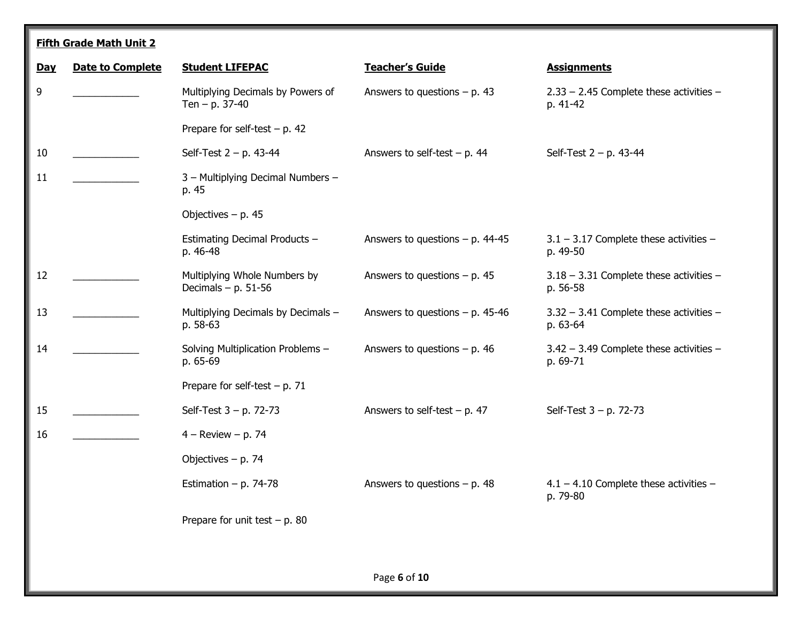|            | <b>Fifth Grade Math Unit 2</b> |                                                       |                                    |                                                         |  |  |
|------------|--------------------------------|-------------------------------------------------------|------------------------------------|---------------------------------------------------------|--|--|
| <b>Day</b> | <b>Date to Complete</b>        | <b>Student LIFEPAC</b>                                | <b>Teacher's Guide</b>             | <b>Assignments</b>                                      |  |  |
| 9          |                                | Multiplying Decimals by Powers of<br>Ten $- p. 37-40$ | Answers to questions $- p. 43$     | $2.33 - 2.45$ Complete these activities -<br>p. 41-42   |  |  |
|            |                                | Prepare for self-test $- p. 42$                       |                                    |                                                         |  |  |
| 10         |                                | Self-Test $2 - p$ . 43-44                             | Answers to self-test $- p. 44$     | Self-Test $2 - p$ . 43-44                               |  |  |
| 11         |                                | 3 - Multiplying Decimal Numbers -<br>p. 45            |                                    |                                                         |  |  |
|            |                                | Objectives $- p. 45$                                  |                                    |                                                         |  |  |
|            |                                | Estimating Decimal Products -<br>p. 46-48             | Answers to questions $- p$ . 44-45 | $3.1 - 3.17$ Complete these activities -<br>p. 49-50    |  |  |
| 12         |                                | Multiplying Whole Numbers by<br>Decimals $- p. 51-56$ | Answers to questions $- p. 45$     | $3.18 - 3.31$ Complete these activities -<br>p. 56-58   |  |  |
| 13         |                                | Multiplying Decimals by Decimals -<br>p. 58-63        | Answers to questions $- p$ . 45-46 | 3.32 - 3.41 Complete these activities -<br>p. 63-64     |  |  |
| 14         |                                | Solving Multiplication Problems -<br>p. 65-69         | Answers to questions $- p$ . 46    | $3.42 - 3.49$ Complete these activities $-$<br>p. 69-71 |  |  |
|            |                                | Prepare for self-test $- p. 71$                       |                                    |                                                         |  |  |
| 15         |                                | Self-Test 3 - p. 72-73                                | Answers to self-test $- p. 47$     | Self-Test 3 - p. 72-73                                  |  |  |
| 16         |                                | $4 -$ Review $-$ p. 74                                |                                    |                                                         |  |  |
|            |                                | Objectives $- p. 74$                                  |                                    |                                                         |  |  |
|            |                                | Estimation - p. 74-78                                 | Answers to questions $- p. 48$     | $4.1 - 4.10$ Complete these activities -<br>p. 79-80    |  |  |
|            |                                | Prepare for unit test $- p$ . 80                      |                                    |                                                         |  |  |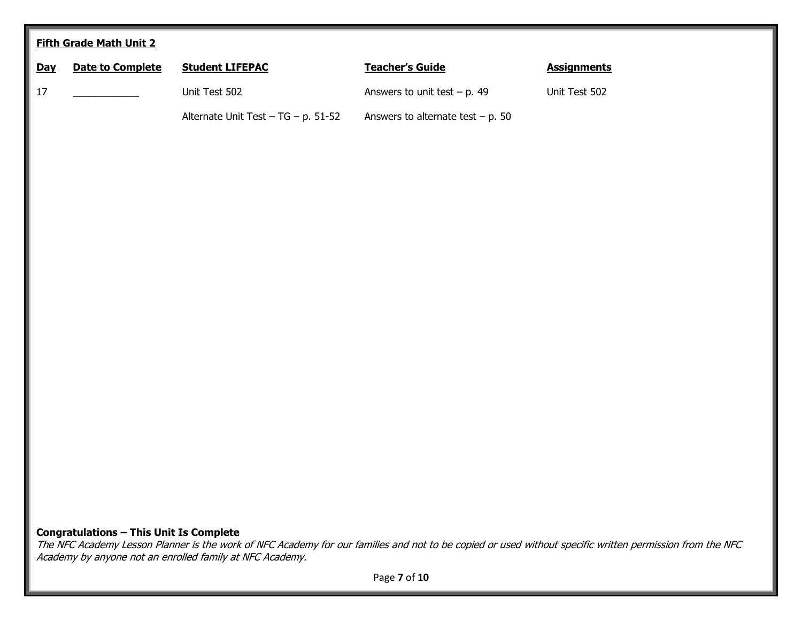| <b>Fifth Grade Math Unit 2</b> |                         |                                     |                                      |                    |  |
|--------------------------------|-------------------------|-------------------------------------|--------------------------------------|--------------------|--|
| <b>Day</b>                     | <b>Date to Complete</b> | <b>Student LIFEPAC</b>              | <b>Teacher's Guide</b>               | <b>Assignments</b> |  |
| $17\,$                         |                         | Unit Test 502                       | Answers to unit test $- p$ . 49      | Unit Test 502      |  |
|                                |                         | Alternate Unit Test - TG - p. 51-52 | Answers to alternate test $- p$ . 50 |                    |  |
|                                |                         |                                     |                                      |                    |  |
|                                |                         |                                     |                                      |                    |  |
|                                |                         |                                     |                                      |                    |  |
|                                |                         |                                     |                                      |                    |  |
|                                |                         |                                     |                                      |                    |  |
|                                |                         |                                     |                                      |                    |  |
|                                |                         |                                     |                                      |                    |  |
|                                |                         |                                     |                                      |                    |  |
|                                |                         |                                     |                                      |                    |  |
|                                |                         |                                     |                                      |                    |  |
|                                |                         |                                     |                                      |                    |  |
|                                |                         |                                     |                                      |                    |  |
|                                |                         |                                     |                                      |                    |  |
|                                |                         |                                     |                                      |                    |  |
|                                |                         |                                     |                                      |                    |  |
|                                |                         |                                     |                                      |                    |  |
|                                |                         |                                     |                                      |                    |  |

**Congratulations – This Unit Is Complete**

The NFC Academy Lesson Planner is the work of NFC Academy for our families and not to be copied or used without specific written permission from the NFC Academy by anyone not an enrolled family at NFC Academy.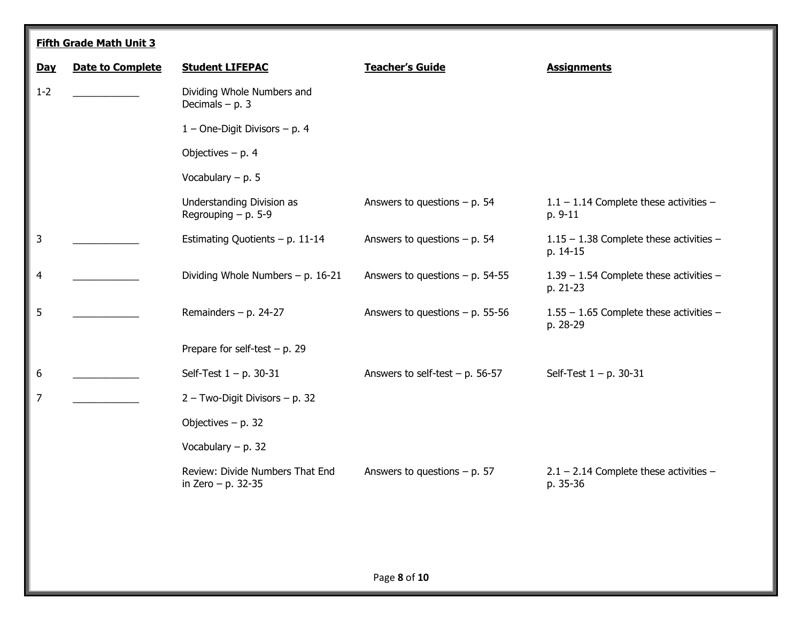|            | <b>Fifth Grade Math Unit 3</b> |                                                         |                                    |                                                       |  |  |
|------------|--------------------------------|---------------------------------------------------------|------------------------------------|-------------------------------------------------------|--|--|
| <b>Day</b> | <b>Date to Complete</b>        | <b>Student LIFEPAC</b>                                  | <b>Teacher's Guide</b>             | <b>Assignments</b>                                    |  |  |
| $1 - 2$    |                                | Dividing Whole Numbers and<br>Decimals $- p. 3$         |                                    |                                                       |  |  |
|            |                                | $1$ – One-Digit Divisors – p. 4                         |                                    |                                                       |  |  |
|            |                                | Objectives $- p. 4$                                     |                                    |                                                       |  |  |
|            |                                | Vocabulary $- p. 5$                                     |                                    |                                                       |  |  |
|            |                                | Understanding Division as<br>Regrouping $- p$ . 5-9     | Answers to questions $- p$ . 54    | $1.1 - 1.14$ Complete these activities -<br>p. 9-11   |  |  |
| 3          |                                | Estimating Quotients $- p. 11-14$                       | Answers to questions $- p$ . 54    | $1.15 - 1.38$ Complete these activities -<br>p. 14-15 |  |  |
| 4          |                                | Dividing Whole Numbers $- p$ . 16-21                    | Answers to questions $- p$ . 54-55 | 1.39 - 1.54 Complete these activities -<br>p. 21-23   |  |  |
| 5          |                                | Remainders $- p. 24-27$                                 | Answers to questions $- p$ . 55-56 | 1.55 - 1.65 Complete these activities -<br>p. 28-29   |  |  |
|            |                                | Prepare for self-test $- p$ . 29                        |                                    |                                                       |  |  |
| 6          |                                | Self-Test $1 - p$ . 30-31                               | Answers to self-test $- p$ . 56-57 | Self-Test $1 - p$ . 30-31                             |  |  |
| 7          |                                | 2 - Two-Digit Divisors - p. 32                          |                                    |                                                       |  |  |
|            |                                | Objectives $- p. 32$                                    |                                    |                                                       |  |  |
|            |                                | Vocabulary $- p. 32$                                    |                                    |                                                       |  |  |
|            |                                | Review: Divide Numbers That End<br>in Zero $- p. 32-35$ | Answers to questions $- p. 57$     | $2.1 - 2.14$ Complete these activities -<br>p. 35-36  |  |  |
|            |                                |                                                         |                                    |                                                       |  |  |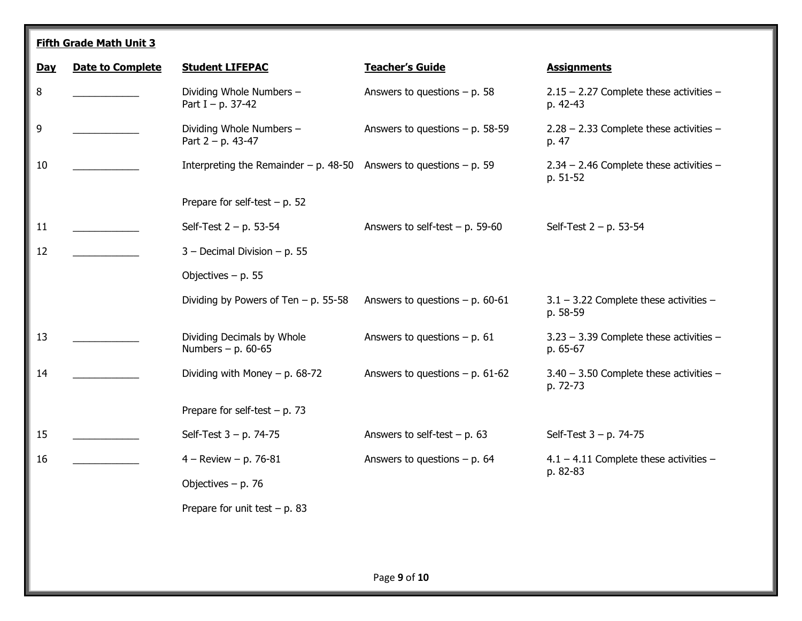**Fifth Grade Math Unit 3**

| <b>Day</b> | <b>Date to Complete</b> | <b>Student LIFEPAC</b>                                             | <b>Teacher's Guide</b>             | <b>Assignments</b>                                      |
|------------|-------------------------|--------------------------------------------------------------------|------------------------------------|---------------------------------------------------------|
| 8          |                         | Dividing Whole Numbers -<br>Part I – p. 37-42                      | Answers to questions $- p$ . 58    | $2.15 - 2.27$ Complete these activities -<br>p. 42-43   |
| 9          |                         | Dividing Whole Numbers -<br>Part $2 - p$ . 43-47                   | Answers to questions $- p$ . 58-59 | $2.28 - 2.33$ Complete these activities -<br>p. 47      |
| 10         |                         | Interpreting the Remainder – p. 48-50 Answers to questions – p. 59 |                                    | $2.34 - 2.46$ Complete these activities -<br>p. 51-52   |
|            |                         | Prepare for self-test $- p$ . 52                                   |                                    |                                                         |
| 11         |                         | Self-Test $2 - p$ . 53-54                                          | Answers to self-test $- p$ . 59-60 | Self-Test $2 - p$ . 53-54                               |
| 12         |                         | $3 -$ Decimal Division $- p$ . 55                                  |                                    |                                                         |
|            |                         | Objectives $- p. 55$                                               |                                    |                                                         |
|            |                         | Dividing by Powers of Ten $-$ p. 55-58                             | Answers to questions $- p$ . 60-61 | $3.1 - 3.22$ Complete these activities -<br>p. 58-59    |
| 13         |                         | Dividing Decimals by Whole<br>Numbers - p. 60-65                   | Answers to questions $- p. 61$     | $3.23 - 3.39$ Complete these activities $-$<br>p. 65-67 |
| 14         |                         | Dividing with Money $- p. 68-72$                                   | Answers to questions $- p$ . 61-62 | $3.40 - 3.50$ Complete these activities $-$<br>p. 72-73 |
|            |                         | Prepare for self-test $- p. 73$                                    |                                    |                                                         |
| 15         |                         | Self-Test $3 - p$ . 74-75                                          | Answers to self-test $- p. 63$     | Self-Test $3 - p$ . 74-75                               |
| 16         |                         | $4 -$ Review $- p. 76 - 81$                                        | Answers to questions $- p$ . 64    | $4.1 - 4.11$ Complete these activities -<br>p. 82-83    |
|            |                         | Objectives $- p. 76$                                               |                                    |                                                         |
|            |                         | Prepare for unit test $- p. 83$                                    |                                    |                                                         |